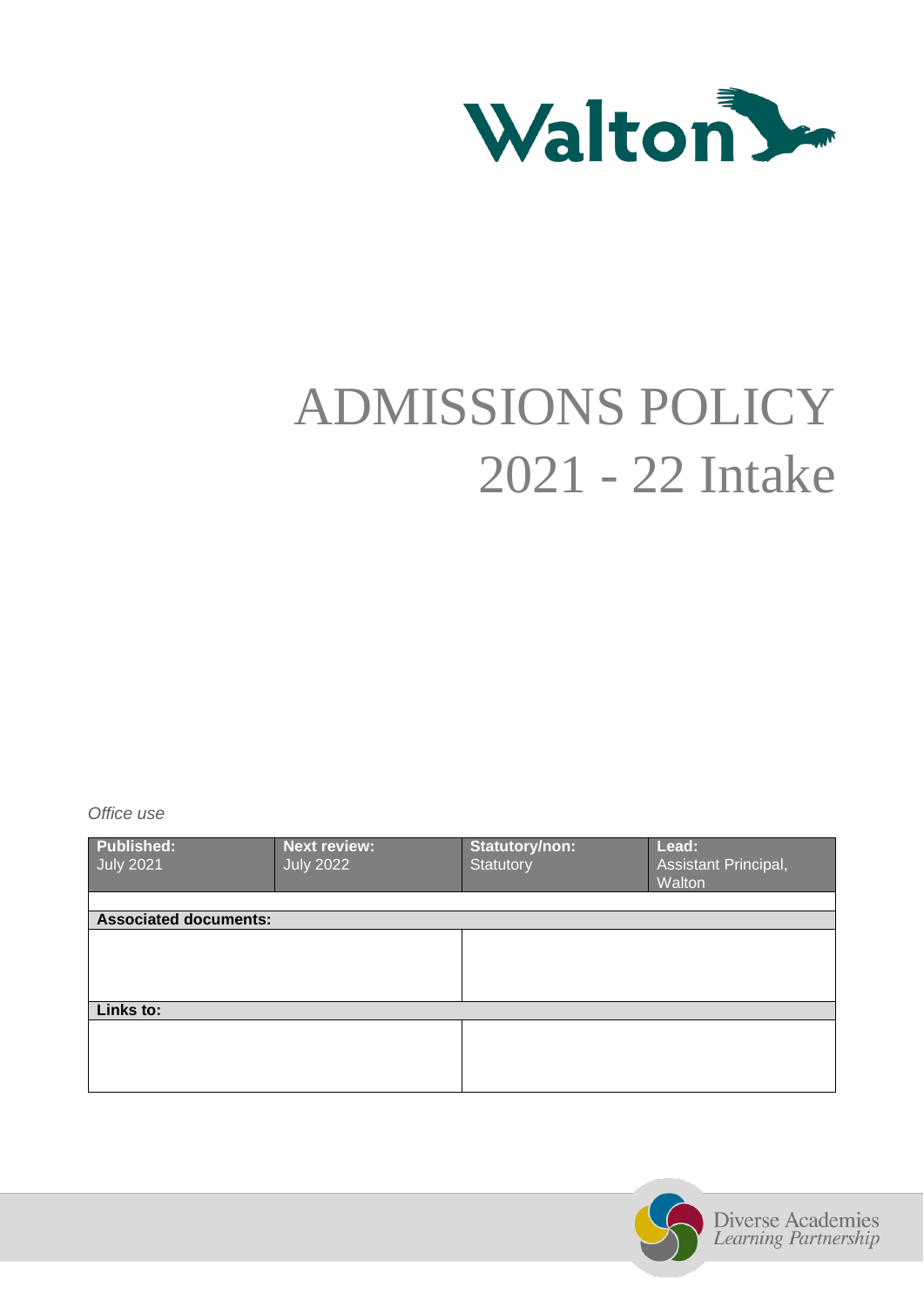

# ADMISSIONS POLICY 2021 - 22 Intake

*Office use*

| <b>Published:</b><br><b>July 2021</b> | <b>Next review:</b><br><b>July 2022</b> | Statutory/non:<br><b>Statutory</b> | Lead:<br>Assistant Principal,<br>Walton |  |
|---------------------------------------|-----------------------------------------|------------------------------------|-----------------------------------------|--|
|                                       |                                         |                                    |                                         |  |
| <b>Associated documents:</b>          |                                         |                                    |                                         |  |
|                                       |                                         |                                    |                                         |  |
|                                       |                                         |                                    |                                         |  |
|                                       |                                         |                                    |                                         |  |
|                                       |                                         |                                    |                                         |  |
| Links to:                             |                                         |                                    |                                         |  |
|                                       |                                         |                                    |                                         |  |
|                                       |                                         |                                    |                                         |  |
|                                       |                                         |                                    |                                         |  |
|                                       |                                         |                                    |                                         |  |

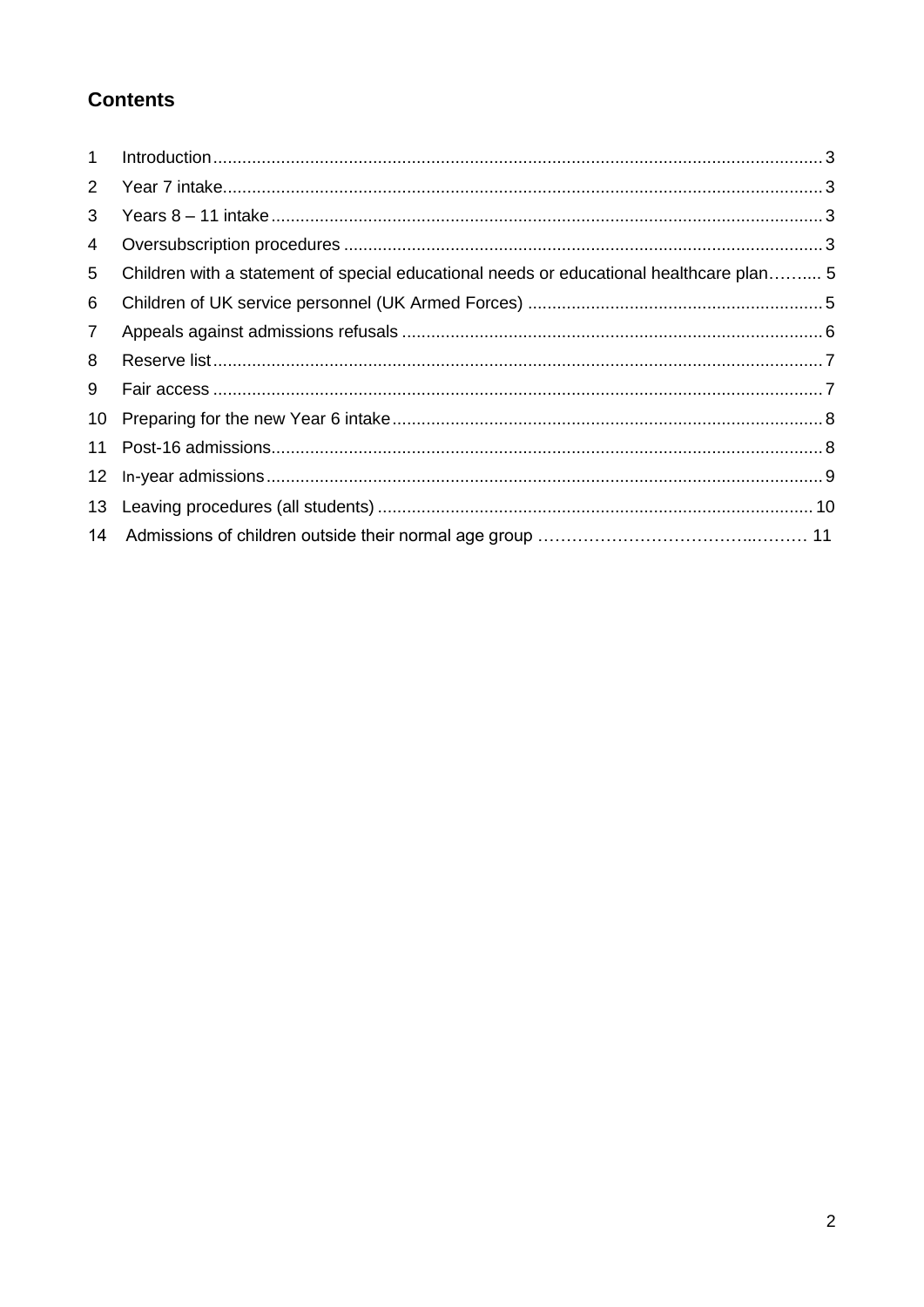# **Contents**

| $\mathbf 1$     |                                                                                         |  |
|-----------------|-----------------------------------------------------------------------------------------|--|
| 2               |                                                                                         |  |
| 3               |                                                                                         |  |
| 4               |                                                                                         |  |
| 5               | Children with a statement of special educational needs or educational healthcare plan 5 |  |
| 6               |                                                                                         |  |
| $\overline{7}$  |                                                                                         |  |
| 8               |                                                                                         |  |
| 9               |                                                                                         |  |
| 10 <sup>°</sup> |                                                                                         |  |
| 11              |                                                                                         |  |
| 12              |                                                                                         |  |
| 13              |                                                                                         |  |
|                 |                                                                                         |  |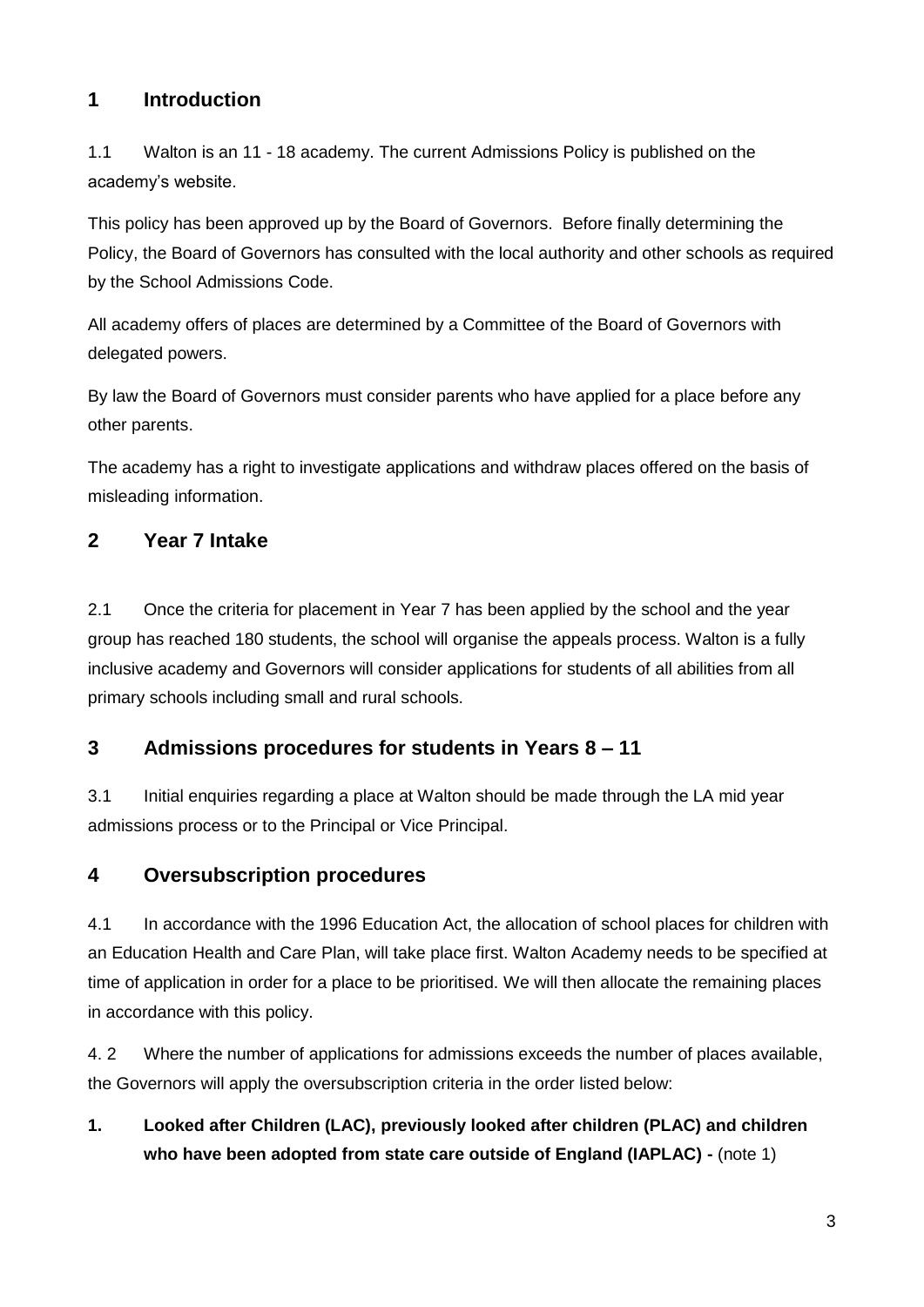# <span id="page-2-0"></span>**1 Introduction**

1.1 Walton is an 11 - 18 academy. The current Admissions Policy is published on the academy's website.

This policy has been approved up by the Board of Governors. Before finally determining the Policy, the Board of Governors has consulted with the local authority and other schools as required by the School Admissions Code.

All academy offers of places are determined by a Committee of the Board of Governors with delegated powers.

By law the Board of Governors must consider parents who have applied for a place before any other parents.

The academy has a right to investigate applications and withdraw places offered on the basis of misleading information.

## <span id="page-2-1"></span>**2 Year 7 Intake**

2.1 Once the criteria for placement in Year 7 has been applied by the school and the year group has reached 180 students, the school will organise the appeals process. Walton is a fully inclusive academy and Governors will consider applications for students of all abilities from all primary schools including small and rural schools.

## <span id="page-2-2"></span>**3 Admissions procedures for students in Years 8 – 11**

3.1 Initial enquiries regarding a place at Walton should be made through the LA mid year admissions process or to the Principal or Vice Principal.

#### **4 Oversubscription procedures**

4.1 In accordance with the 1996 Education Act, the allocation of school places for children with an Education Health and Care Plan, will take place first. Walton Academy needs to be specified at time of application in order for a place to be prioritised. We will then allocate the remaining places in accordance with this policy.

4. 2 Where the number of applications for admissions exceeds the number of places available, the Governors will apply the oversubscription criteria in the order listed below:

**1. Looked after Children (LAC), previously looked after children (PLAC) and children who have been adopted from state care outside of England (IAPLAC) -** (note 1)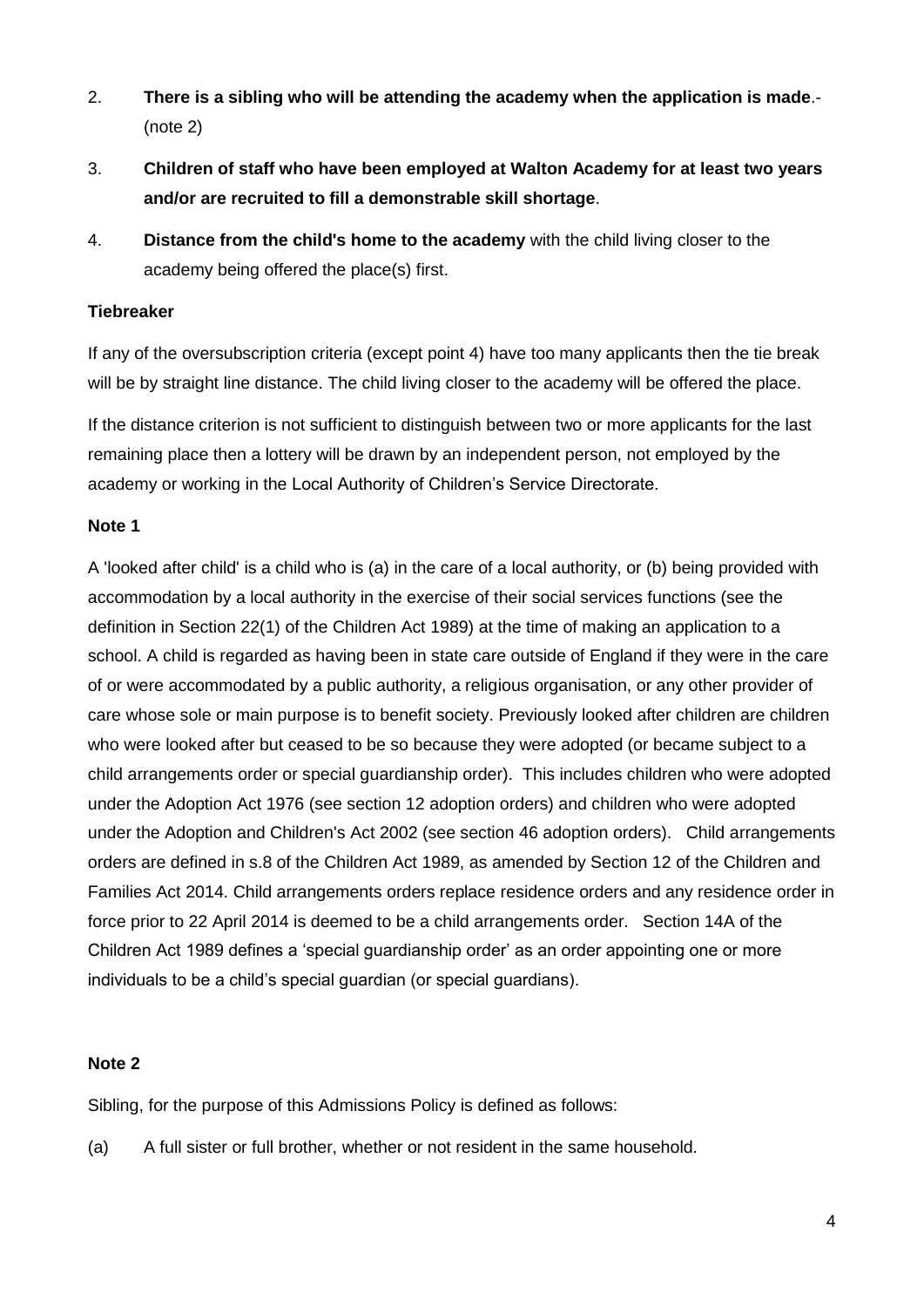- 2. **There is a sibling who will be attending the academy when the application is made**.- (note 2)
- 3. **Children of staff who have been employed at Walton Academy for at least two years and/or are recruited to fill a demonstrable skill shortage**.
- 4. **Distance from the child's home to the academy** with the child living closer to the academy being offered the place(s) first.

#### **Tiebreaker**

If any of the oversubscription criteria (except point 4) have too many applicants then the tie break will be by straight line distance. The child living closer to the academy will be offered the place.

If the distance criterion is not sufficient to distinguish between two or more applicants for the last remaining place then a lottery will be drawn by an independent person, not employed by the academy or working in the Local Authority of Children's Service Directorate.

#### **Note 1**

A 'looked after child' is a child who is (a) in the care of a local authority, or (b) being provided with accommodation by a local authority in the exercise of their social services functions (see the definition in Section 22(1) of the Children Act 1989) at the time of making an application to a school. A child is regarded as having been in state care outside of England if they were in the care of or were accommodated by a public authority, a religious organisation, or any other provider of care whose sole or main purpose is to benefit society. Previously looked after children are children who were looked after but ceased to be so because they were adopted (or became subject to a child arrangements order or special guardianship order). This includes children who were adopted under the Adoption Act 1976 (see section 12 adoption orders) and children who were adopted under the Adoption and Children's Act 2002 (see section 46 adoption orders). Child arrangements orders are defined in s.8 of the Children Act 1989, as amended by Section 12 of the Children and Families Act 2014. Child arrangements orders replace residence orders and any residence order in force prior to 22 April 2014 is deemed to be a child arrangements order. Section 14A of the Children Act 1989 defines a 'special guardianship order' as an order appointing one or more individuals to be a child's special guardian (or special guardians).

#### **Note 2**

Sibling, for the purpose of this Admissions Policy is defined as follows:

(a) A full sister or full brother, whether or not resident in the same household.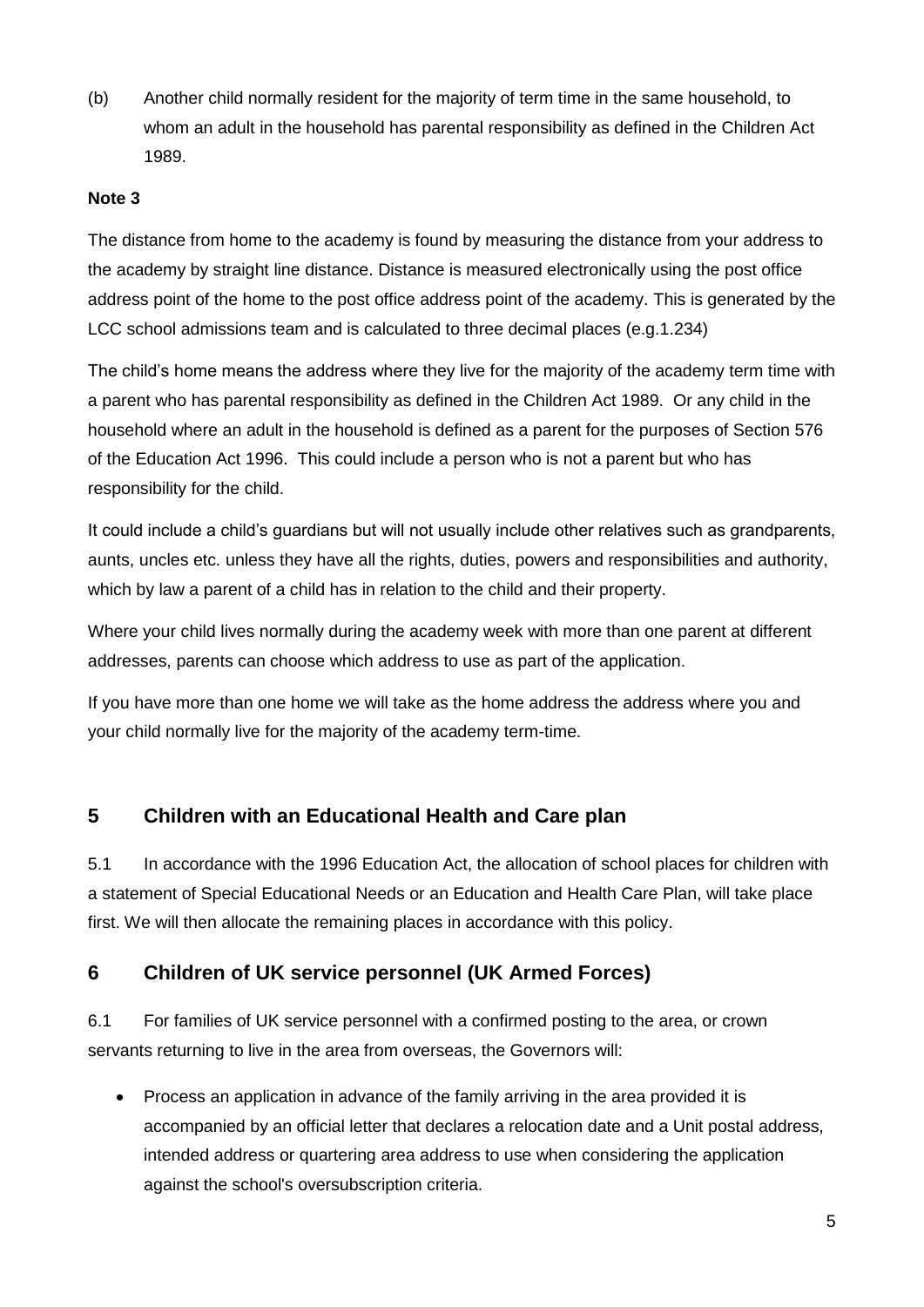(b) Another child normally resident for the majority of term time in the same household, to whom an adult in the household has parental responsibility as defined in the Children Act 1989.

#### **Note 3**

The distance from home to the academy is found by measuring the distance from your address to the academy by straight line distance. Distance is measured electronically using the post office address point of the home to the post office address point of the academy. This is generated by the LCC school admissions team and is calculated to three decimal places (e.g.1.234)

The child's home means the address where they live for the majority of the academy term time with a parent who has parental responsibility as defined in the Children Act 1989. Or any child in the household where an adult in the household is defined as a parent for the purposes of Section 576 of the Education Act 1996. This could include a person who is not a parent but who has responsibility for the child.

It could include a child's guardians but will not usually include other relatives such as grandparents, aunts, uncles etc. unless they have all the rights, duties, powers and responsibilities and authority, which by law a parent of a child has in relation to the child and their property.

Where your child lives normally during the academy week with more than one parent at different addresses, parents can choose which address to use as part of the application.

If you have more than one home we will take as the home address the address where you and your child normally live for the majority of the academy term-time.

## **5 Children with an Educational Health and Care plan**

5.1 In accordance with the 1996 Education Act, the allocation of school places for children with a statement of Special Educational Needs or an Education and Health Care Plan, will take place first. We will then allocate the remaining places in accordance with this policy.

## **6 Children of UK service personnel (UK Armed Forces)**

6.1 For families of UK service personnel with a confirmed posting to the area, or crown servants returning to live in the area from overseas, the Governors will:

 Process an application in advance of the family arriving in the area provided it is accompanied by an official letter that declares a relocation date and a Unit postal address, intended address or quartering area address to use when considering the application against the school's oversubscription criteria.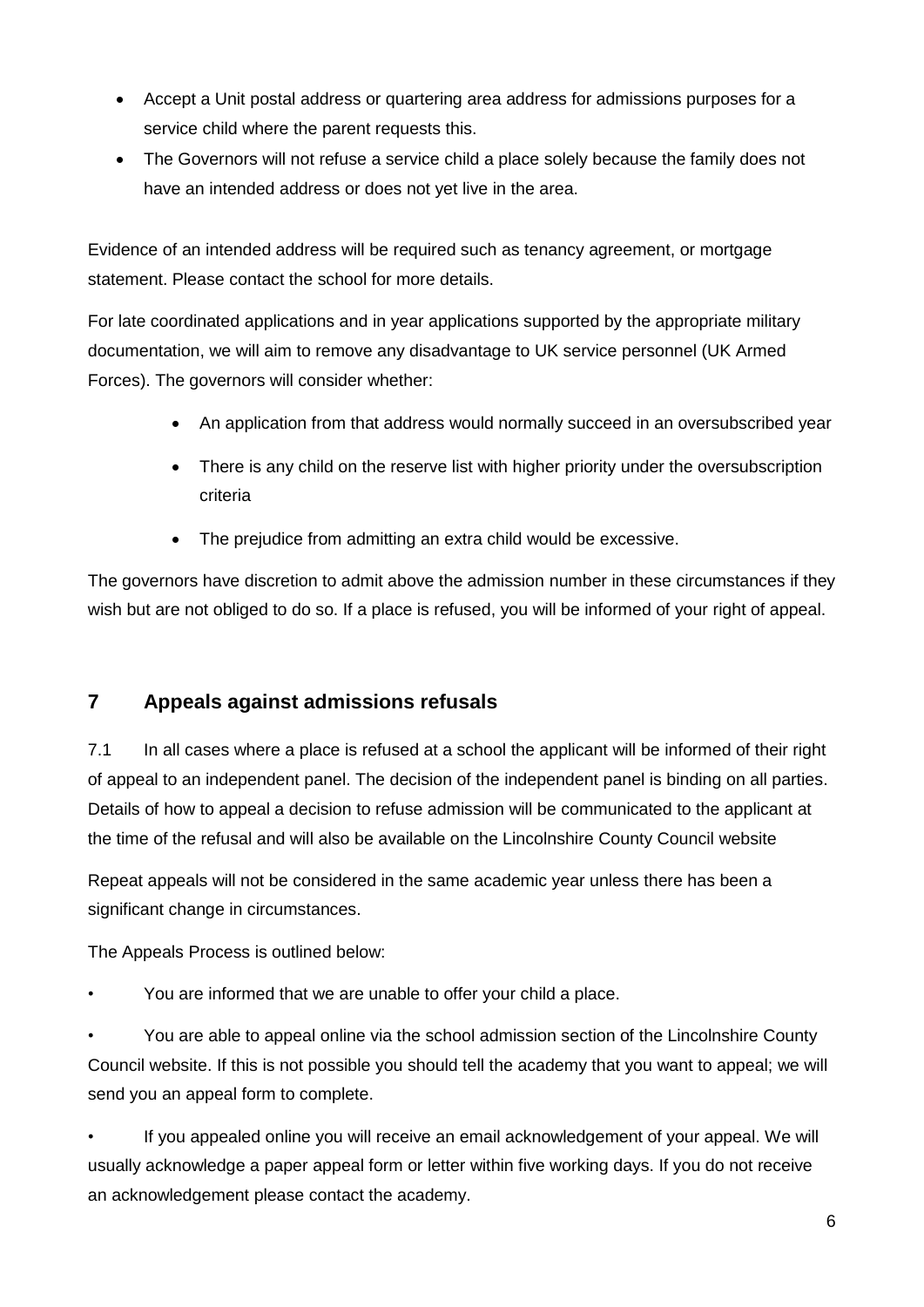- Accept a Unit postal address or quartering area address for admissions purposes for a service child where the parent requests this.
- The Governors will not refuse a service child a place solely because the family does not have an intended address or does not yet live in the area.

Evidence of an intended address will be required such as tenancy agreement, or mortgage statement. Please contact the school for more details.

For late coordinated applications and in year applications supported by the appropriate military documentation, we will aim to remove any disadvantage to UK service personnel (UK Armed Forces). The governors will consider whether:

- An application from that address would normally succeed in an oversubscribed year
- There is any child on the reserve list with higher priority under the oversubscription criteria
- The prejudice from admitting an extra child would be excessive.

The governors have discretion to admit above the admission number in these circumstances if they wish but are not obliged to do so. If a place is refused, you will be informed of your right of appeal.

# **7 Appeals against admissions refusals**

7.1 In all cases where a place is refused at a school the applicant will be informed of their right of appeal to an independent panel. The decision of the independent panel is binding on all parties. Details of how to appeal a decision to refuse admission will be communicated to the applicant at the time of the refusal and will also be available on the Lincolnshire County Council website

Repeat appeals will not be considered in the same academic year unless there has been a significant change in circumstances.

The Appeals Process is outlined below:

• You are informed that we are unable to offer your child a place.

• You are able to appeal online via the school admission section of the Lincolnshire County Council website. If this is not possible you should tell the academy that you want to appeal; we will send you an appeal form to complete.

• If you appealed online you will receive an email acknowledgement of your appeal. We will usually acknowledge a paper appeal form or letter within five working days. If you do not receive an acknowledgement please contact the academy.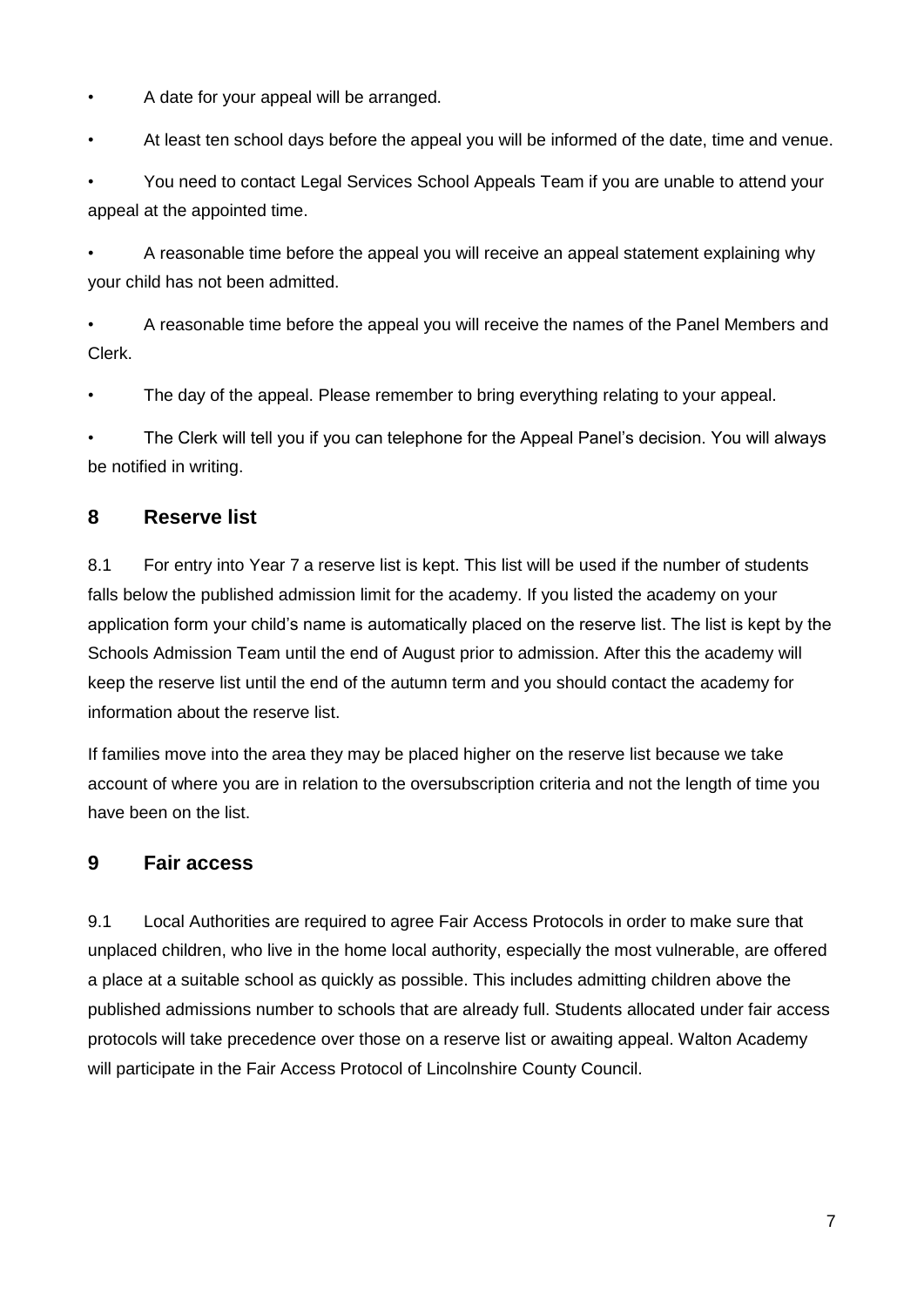• A date for your appeal will be arranged.

• At least ten school days before the appeal you will be informed of the date, time and venue.

• You need to contact Legal Services School Appeals Team if you are unable to attend your appeal at the appointed time.

• A reasonable time before the appeal you will receive an appeal statement explaining why your child has not been admitted.

• A reasonable time before the appeal you will receive the names of the Panel Members and Clerk.

• The day of the appeal. Please remember to bring everything relating to your appeal.

• The Clerk will tell you if you can telephone for the Appeal Panel's decision. You will always be notified in writing.

# **8 Reserve list**

8.1 For entry into Year 7 a reserve list is kept. This list will be used if the number of students falls below the published admission limit for the academy. If you listed the academy on your application form your child's name is automatically placed on the reserve list. The list is kept by the Schools Admission Team until the end of August prior to admission. After this the academy will keep the reserve list until the end of the autumn term and you should contact the academy for information about the reserve list.

If families move into the area they may be placed higher on the reserve list because we take account of where you are in relation to the oversubscription criteria and not the length of time you have been on the list.

# **9 Fair access**

9.1 Local Authorities are required to agree Fair Access Protocols in order to make sure that unplaced children, who live in the home local authority, especially the most vulnerable, are offered a place at a suitable school as quickly as possible. This includes admitting children above the published admissions number to schools that are already full. Students allocated under fair access protocols will take precedence over those on a reserve list or awaiting appeal. Walton Academy will participate in the Fair Access Protocol of Lincolnshire County Council.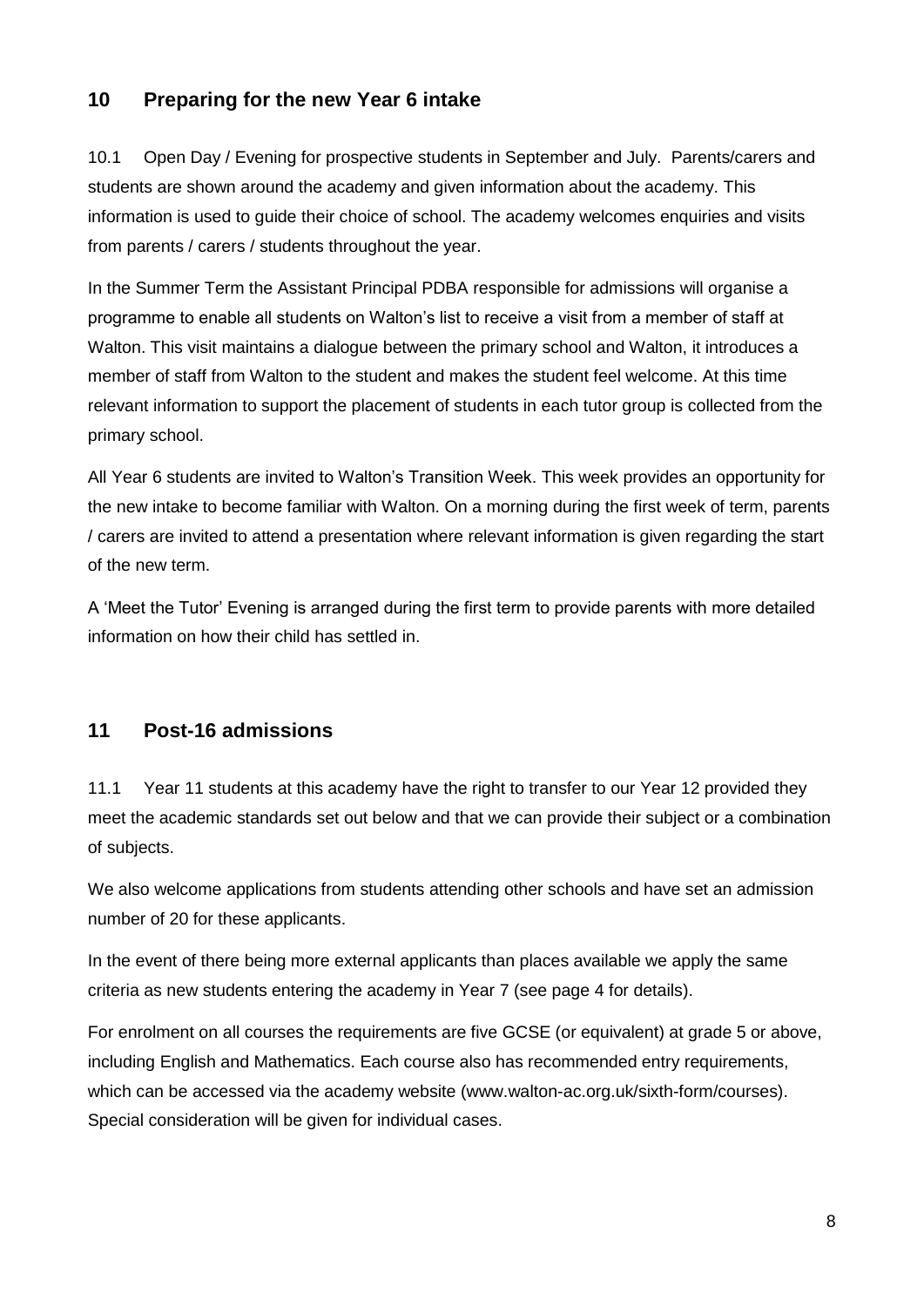## **10 Preparing for the new Year 6 intake**

10.1 Open Day / Evening for prospective students in September and July. Parents/carers and students are shown around the academy and given information about the academy. This information is used to guide their choice of school. The academy welcomes enquiries and visits from parents / carers / students throughout the year.

In the Summer Term the Assistant Principal PDBA responsible for admissions will organise a programme to enable all students on Walton's list to receive a visit from a member of staff at Walton. This visit maintains a dialogue between the primary school and Walton, it introduces a member of staff from Walton to the student and makes the student feel welcome. At this time relevant information to support the placement of students in each tutor group is collected from the primary school.

All Year 6 students are invited to Walton's Transition Week. This week provides an opportunity for the new intake to become familiar with Walton. On a morning during the first week of term, parents / carers are invited to attend a presentation where relevant information is given regarding the start of the new term.

A 'Meet the Tutor' Evening is arranged during the first term to provide parents with more detailed information on how their child has settled in.

#### **11 Post-16 admissions**

11.1 Year 11 students at this academy have the right to transfer to our Year 12 provided they meet the academic standards set out below and that we can provide their subject or a combination of subjects.

We also welcome applications from students attending other schools and have set an admission number of 20 for these applicants.

In the event of there being more external applicants than places available we apply the same criteria as new students entering the academy in Year 7 (see page 4 for details).

For enrolment on all courses the requirements are five GCSE (or equivalent) at grade 5 or above, including English and Mathematics. Each course also has recommended entry requirements, which can be accessed via the academy website (www.walton-ac.org.uk/sixth-form/courses). Special consideration will be given for individual cases.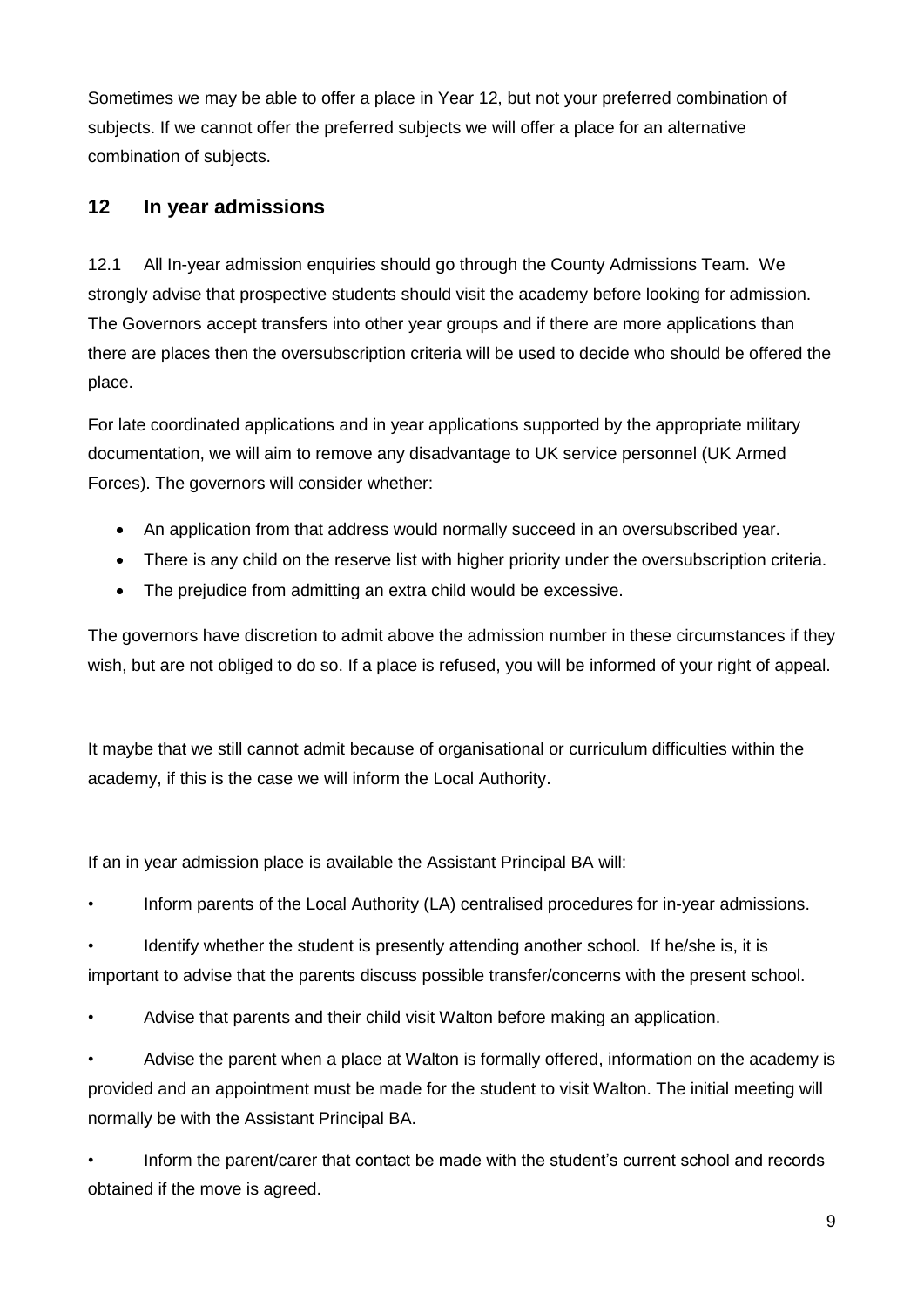Sometimes we may be able to offer a place in Year 12, but not your preferred combination of subjects. If we cannot offer the preferred subjects we will offer a place for an alternative combination of subjects.

## **12 In year admissions**

12.1 All In-year admission enquiries should go through the County Admissions Team. We strongly advise that prospective students should visit the academy before looking for admission. The Governors accept transfers into other year groups and if there are more applications than there are places then the oversubscription criteria will be used to decide who should be offered the place.

For late coordinated applications and in year applications supported by the appropriate military documentation, we will aim to remove any disadvantage to UK service personnel (UK Armed Forces). The governors will consider whether:

- An application from that address would normally succeed in an oversubscribed year.
- There is any child on the reserve list with higher priority under the oversubscription criteria.
- The prejudice from admitting an extra child would be excessive.

The governors have discretion to admit above the admission number in these circumstances if they wish, but are not obliged to do so. If a place is refused, you will be informed of your right of appeal.

It maybe that we still cannot admit because of organisational or curriculum difficulties within the academy, if this is the case we will inform the Local Authority.

If an in year admission place is available the Assistant Principal BA will:

• Inform parents of the Local Authority (LA) centralised procedures for in-year admissions.

• Identify whether the student is presently attending another school. If he/she is, it is important to advise that the parents discuss possible transfer/concerns with the present school.

• Advise that parents and their child visit Walton before making an application.

• Advise the parent when a place at Walton is formally offered, information on the academy is provided and an appointment must be made for the student to visit Walton. The initial meeting will normally be with the Assistant Principal BA.

• Inform the parent/carer that contact be made with the student's current school and records obtained if the move is agreed.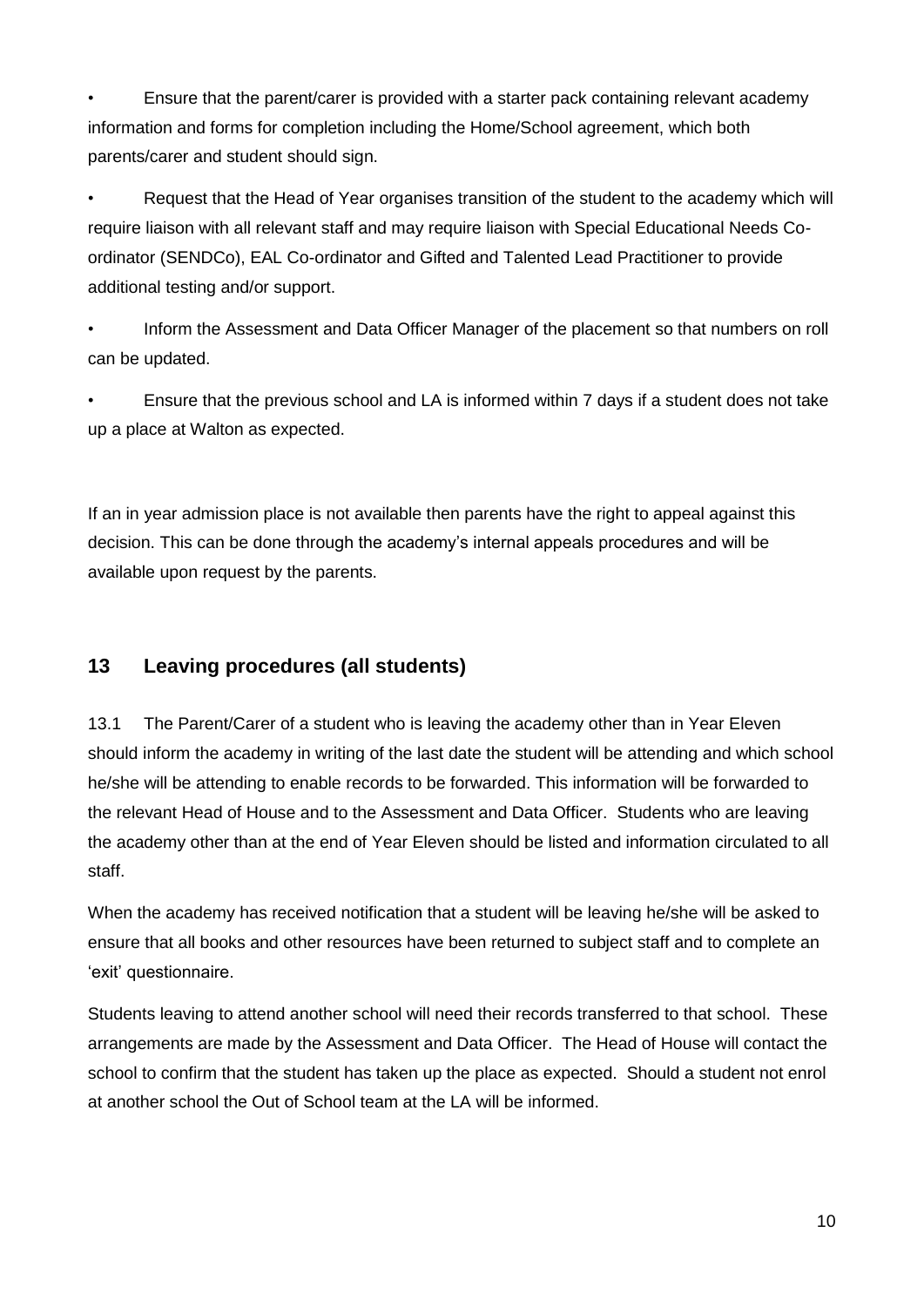• Ensure that the parent/carer is provided with a starter pack containing relevant academy information and forms for completion including the Home/School agreement, which both parents/carer and student should sign.

• Request that the Head of Year organises transition of the student to the academy which will require liaison with all relevant staff and may require liaison with Special Educational Needs Coordinator (SENDCo), EAL Co-ordinator and Gifted and Talented Lead Practitioner to provide additional testing and/or support.

• Inform the Assessment and Data Officer Manager of the placement so that numbers on roll can be updated.

• Ensure that the previous school and LA is informed within 7 days if a student does not take up a place at Walton as expected.

If an in year admission place is not available then parents have the right to appeal against this decision. This can be done through the academy's internal appeals procedures and will be available upon request by the parents.

# **13 Leaving procedures (all students)**

13.1 The Parent/Carer of a student who is leaving the academy other than in Year Eleven should inform the academy in writing of the last date the student will be attending and which school he/she will be attending to enable records to be forwarded. This information will be forwarded to the relevant Head of House and to the Assessment and Data Officer. Students who are leaving the academy other than at the end of Year Eleven should be listed and information circulated to all staff.

When the academy has received notification that a student will be leaving he/she will be asked to ensure that all books and other resources have been returned to subject staff and to complete an 'exit' questionnaire.

Students leaving to attend another school will need their records transferred to that school. These arrangements are made by the Assessment and Data Officer. The Head of House will contact the school to confirm that the student has taken up the place as expected. Should a student not enrol at another school the Out of School team at the LA will be informed.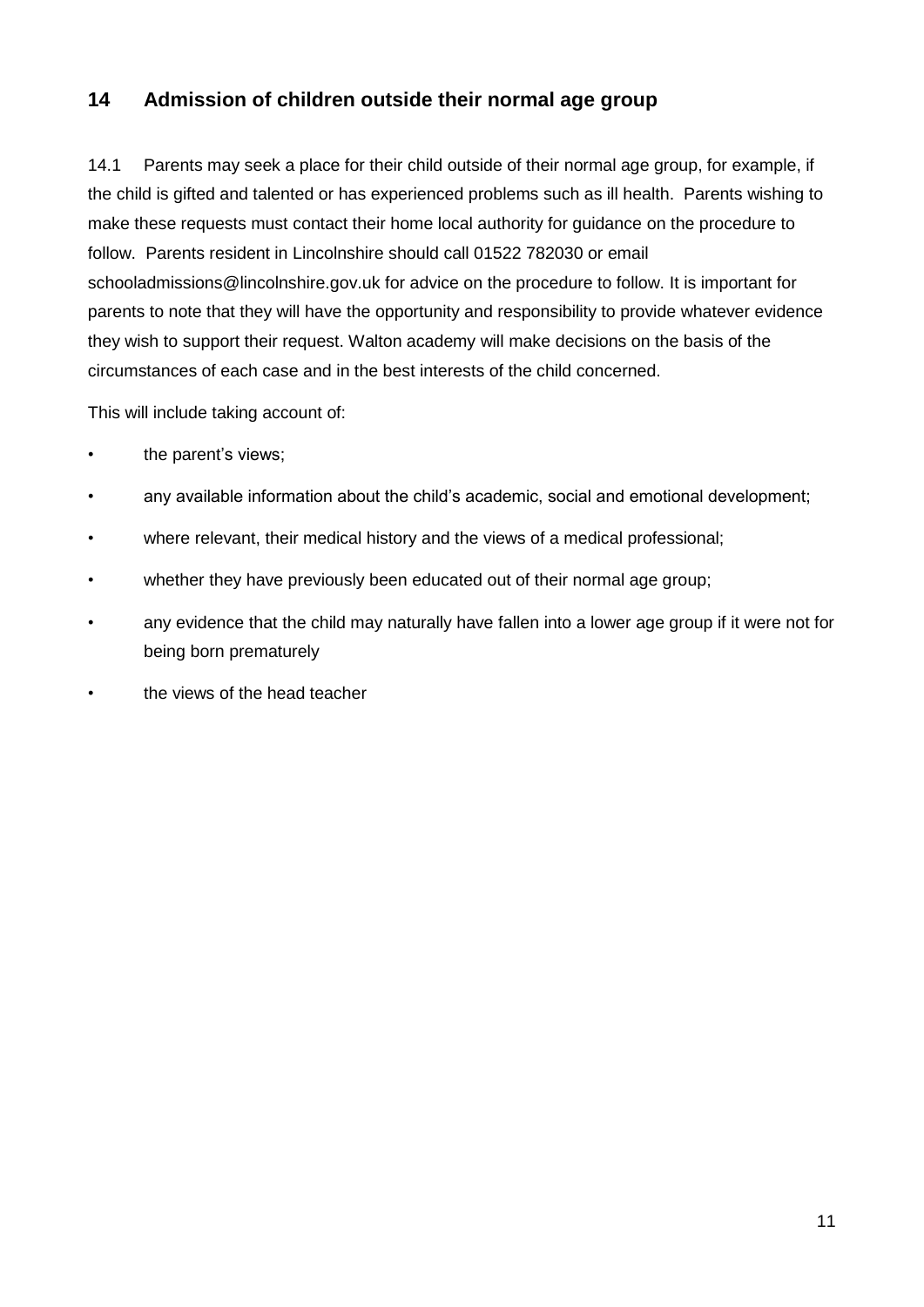# **14 Admission of children outside their normal age group**

14.1 Parents may seek a place for their child outside of their normal age group, for example, if the child is gifted and talented or has experienced problems such as ill health. Parents wishing to make these requests must contact their home local authority for guidance on the procedure to follow. Parents resident in Lincolnshire should call 01522 782030 or email schooladmissions@lincolnshire.gov.uk for advice on the procedure to follow. It is important for parents to note that they will have the opportunity and responsibility to provide whatever evidence they wish to support their request. Walton academy will make decisions on the basis of the circumstances of each case and in the best interests of the child concerned.

This will include taking account of:

- the parent's views;
- any available information about the child's academic, social and emotional development;
- where relevant, their medical history and the views of a medical professional;
- whether they have previously been educated out of their normal age group;
- any evidence that the child may naturally have fallen into a lower age group if it were not for being born prematurely
- the views of the head teacher